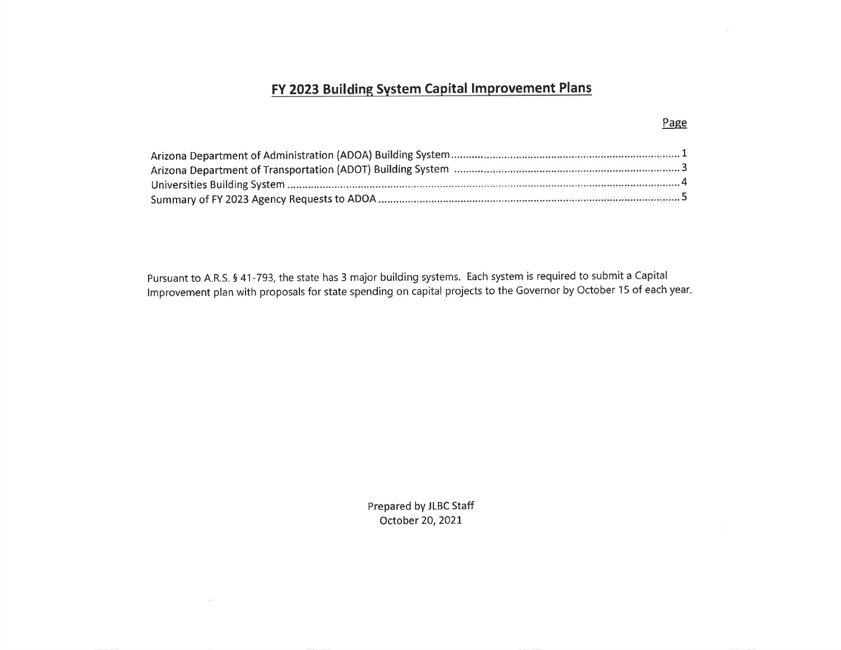# FY 2023 Building System Capital Improvement Plans

Pursuant to A.R.S. 5 41-793, the state has 3 major building systems. Each system is required to submit a Capital lmprovement plan with proposals for state spending on capital projects to the Governor by October 15 of each year

> Prepared by JLBC Staff October 20,2O2L

 $\sim$ 

#### Page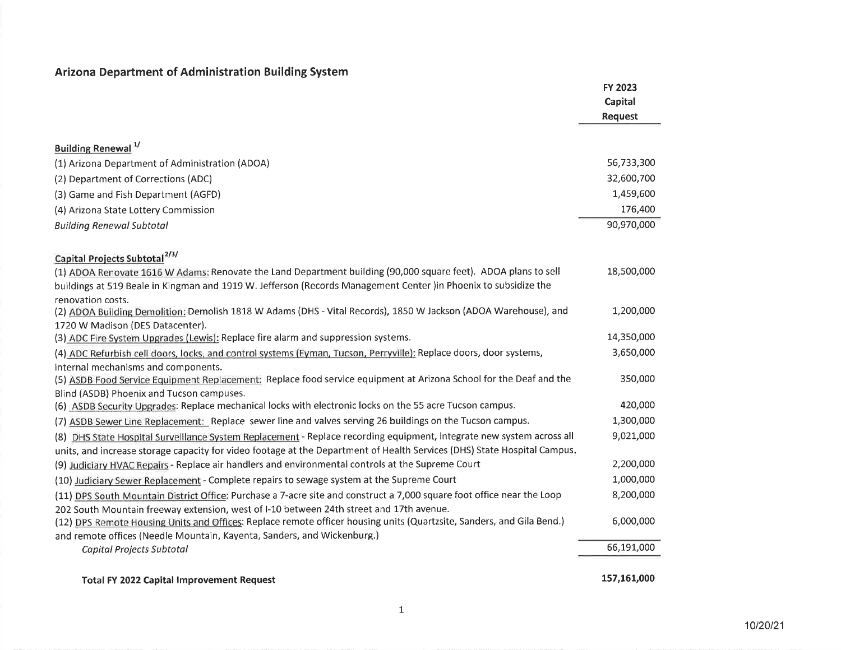## Arizona Department of Administration Building System

|                                                                                                                                                                                                                  | FY 2023     |
|------------------------------------------------------------------------------------------------------------------------------------------------------------------------------------------------------------------|-------------|
|                                                                                                                                                                                                                  | Capital     |
|                                                                                                                                                                                                                  | Request     |
|                                                                                                                                                                                                                  |             |
| Building Renewal <sup>1/</sup>                                                                                                                                                                                   |             |
| (1) Arizona Department of Administration (ADOA)                                                                                                                                                                  | 56,733,300  |
| (2) Department of Corrections (ADC)                                                                                                                                                                              | 32,600,700  |
| (3) Game and Fish Department (AGFD)                                                                                                                                                                              | 1,459,600   |
| (4) Arizona State Lottery Commission                                                                                                                                                                             | 176,400     |
| <b>Building Renewal Subtotal</b>                                                                                                                                                                                 | 90,970,000  |
|                                                                                                                                                                                                                  |             |
| Capital Projects Subtotal <sup>2/3/</sup>                                                                                                                                                                        |             |
| (1) ADOA Renovate 1616 W Adams: Renovate the Land Department building (90,000 square feet). ADOA plans to sell                                                                                                   | 18,500,000  |
| buildings at 519 Beale in Kingman and 1919 W. Jefferson (Records Management Center) in Phoenix to subsidize the<br>renovation costs.                                                                             |             |
| (2) ADOA Building Demolition: Demolish 1818 W Adams (DHS - Vital Records), 1850 W Jackson (ADOA Warehouse), and                                                                                                  | 1,200,000   |
| 1720 W Madison (DES Datacenter).                                                                                                                                                                                 |             |
| (3) ADC Fire System Upgrades (Lewis): Replace fire alarm and suppression systems.                                                                                                                                | 14,350,000  |
| (4) ADC Refurbish cell doors, locks, and control systems (Eyman, Tucson, Perryville): Replace doors, door systems,                                                                                               | 3,650,000   |
| internal mechanisms and components.                                                                                                                                                                              |             |
| (5) ASDB Food Service Equipment Replacement: Replace food service equipment at Arizona School for the Deaf and the                                                                                               | 350,000     |
| Blind (ASDB) Phoenix and Tucson campuses.                                                                                                                                                                        | 420,000     |
| (6) ASDB Security Upgrades: Replace mechanical locks with electronic locks on the 55 acre Tucson campus.                                                                                                         |             |
| (7) ASDB Sewer Line Replacement: Replace sewer line and valves serving 26 buildings on the Tucson campus.                                                                                                        | 1,300,000   |
| (8) DHS State Hospital Surveillance System Replacement - Replace recording equipment, integrate new system across all                                                                                            | 9,021,000   |
| units, and increase storage capacity for video footage at the Department of Health Services (DHS) State Hospital Campus.                                                                                         | 2,200,000   |
| (9) Judiciary HVAC Repairs - Replace air handlers and environmental controls at the Supreme Court                                                                                                                |             |
| (10) Judiciary Sewer Replacement - Complete repairs to sewage system at the Supreme Court                                                                                                                        | 1,000,000   |
| (11) DPS South Mountain District Office: Purchase a 7-acre site and construct a 7,000 square foot office near the Loop                                                                                           | 8,200,000   |
| 202 South Mountain freeway extension, west of I-10 between 24th street and 17th avenue.<br>(12) DPS Remote Housing Units and Offices: Replace remote officer housing units (Quartzsite, Sanders, and Gila Bend.) | 6,000,000   |
| and remote offices (Needle Mountain, Kayenta, Sanders, and Wickenburg.)                                                                                                                                          |             |
| Capital Projects Subtotal                                                                                                                                                                                        | 66,191,000  |
|                                                                                                                                                                                                                  |             |
| Total FY 2022 Capital Improvement Request                                                                                                                                                                        | 157,161,000 |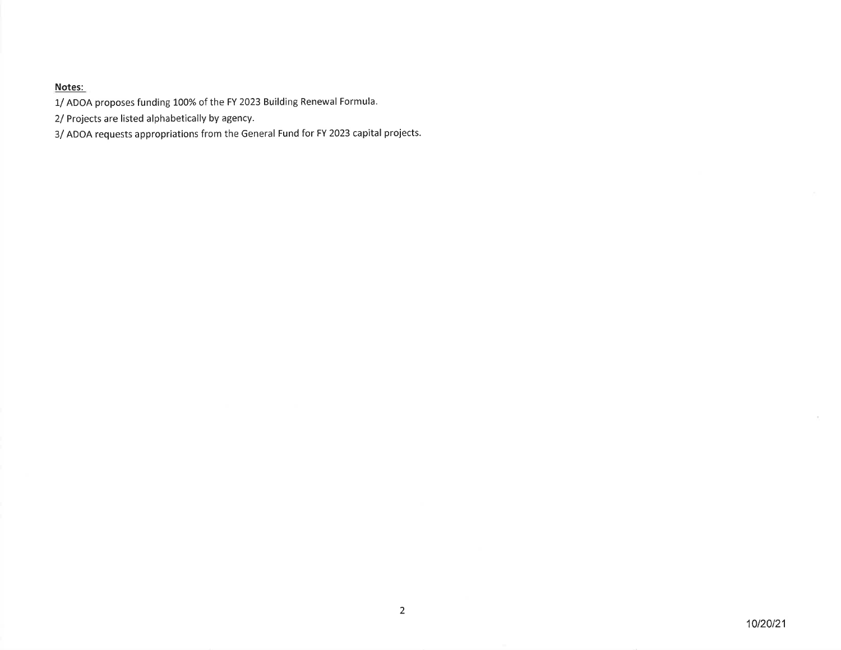1/ ADOA proposes funding 100% of the FY 2023 Building Renewal Formula.

2/ Projects are listed alphabetically by agency.

3/ ADOA requests appropriations from the General Fund for FY 2023 capital projects.

 $\sim$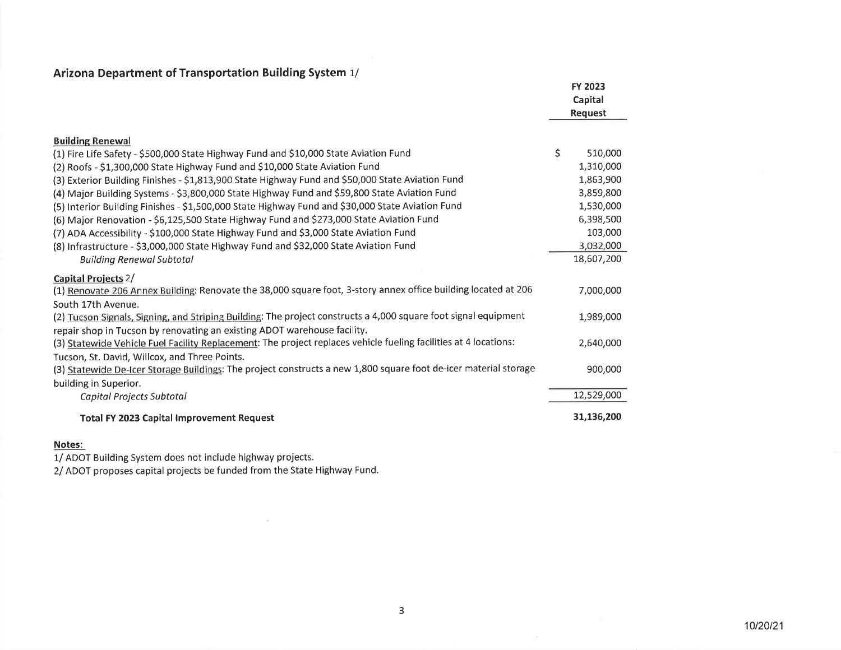| Arizona Department of Transportation Building System 1/ |  |  |  |
|---------------------------------------------------------|--|--|--|
|---------------------------------------------------------|--|--|--|

|                                                                                                                  | FY 2023       |
|------------------------------------------------------------------------------------------------------------------|---------------|
|                                                                                                                  | Capital       |
|                                                                                                                  | Request       |
| <b>Building Renewal</b>                                                                                          |               |
| (1) Fire Life Safety - \$500,000 State Highway Fund and \$10,000 State Aviation Fund                             | \$<br>510,000 |
| (2) Roofs - \$1,300,000 State Highway Fund and \$10,000 State Aviation Fund                                      | 1,310,000     |
| (3) Exterior Building Finishes - \$1,813,900 State Highway Fund and \$50,000 State Aviation Fund                 | 1,863,900     |
| (4) Major Building Systems - \$3,800,000 State Highway Fund and \$59,800 State Aviation Fund                     | 3,859,800     |
| (5) Interior Building Finishes - \$1,500,000 State Highway Fund and \$30,000 State Aviation Fund                 | 1,530,000     |
| (6) Major Renovation - \$6,125,500 State Highway Fund and \$273,000 State Aviation Fund                          | 6,398,500     |
| (7) ADA Accessibility - \$100,000 State Highway Fund and \$3,000 State Aviation Fund                             | 103,000       |
| (8) Infrastructure - \$3,000,000 State Highway Fund and \$32,000 State Aviation Fund                             | 3,032,000     |
| <b>Building Renewal Subtotal</b>                                                                                 | 18,607,200    |
| Capital Projects 2/                                                                                              |               |
| (1) Renovate 206 Annex Building: Renovate the 38,000 square foot, 3-story annex office building located at 206   | 7,000,000     |
| South 17th Avenue.                                                                                               |               |
| (2) Tucson Signals, Signing, and Striping Building: The project constructs a 4,000 square foot signal equipment  | 1,989,000     |
| repair shop in Tucson by renovating an existing ADOT warehouse facility.                                         |               |
| (3) Statewide Vehicle Fuel Facility Replacement: The project replaces vehicle fueling facilities at 4 locations: | 2,640,000     |
| Tucson, St. David, Willcox, and Three Points.                                                                    |               |
| (3) Statewide De-Icer Storage Buildings: The project constructs a new 1,800 square foot de-icer material storage | 900,000       |
| building in Superior.                                                                                            |               |
| Capital Projects Subtotal                                                                                        | 12,529,000    |
| <b>Total FY 2023 Capital Improvement Request</b>                                                                 | 31,136,200    |

1/ ADOT Building System does not include highway projects.

2/ ADOT proposes capital projects be funded from the State Highway Fund.

 $\sim$ 

 $\overline{\mathcal{F}}$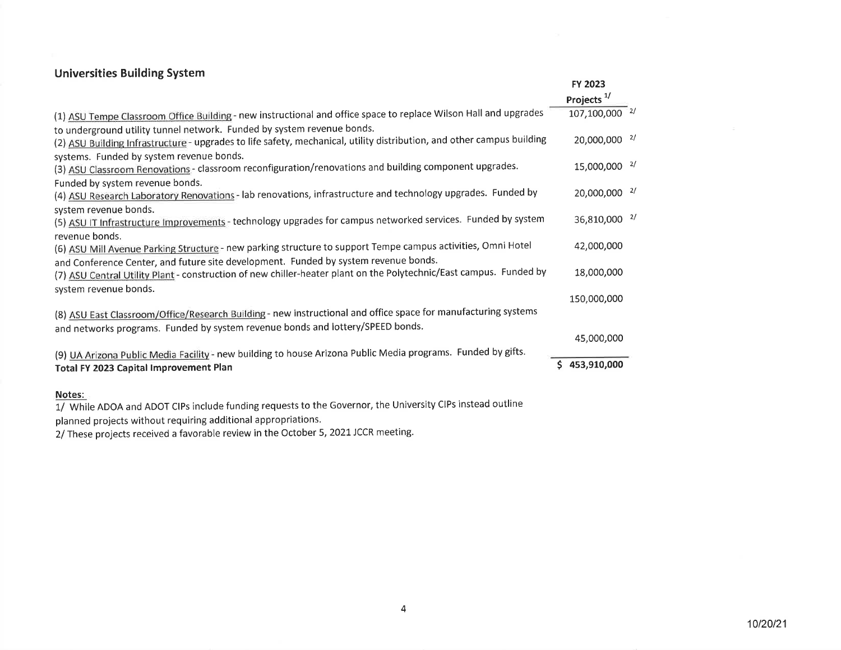### Universities Building System

|                                                                                                                        | <b>FY 2023</b>           |
|------------------------------------------------------------------------------------------------------------------------|--------------------------|
|                                                                                                                        | Projects $1$             |
| (1) ASU Tempe Classroom Office Building - new instructional and office space to replace Wilson Hall and upgrades       | 107,100,000 $^{2/}$      |
| to underground utility tunnel network. Funded by system revenue bonds.                                                 |                          |
| (2) ASU Building Infrastructure - upgrades to life safety, mechanical, utility distribution, and other campus building | 20,000,000 <sup>2/</sup> |
| systems. Funded by system revenue bonds.                                                                               |                          |
| (3) ASU Classroom Renovations - classroom reconfiguration/renovations and building component upgrades.                 | 15,000,000 <sup>2/</sup> |
| Funded by system revenue bonds.                                                                                        |                          |
| (4) ASU Research Laboratory Renovations - lab renovations, infrastructure and technology upgrades. Funded by           | 20,000,000 <sup>2/</sup> |
| system revenue bonds.                                                                                                  |                          |
| (5) ASU IT Infrastructure Improvements - technology upgrades for campus networked services. Funded by system           | 36,810,000 <sup>2/</sup> |
| revenue bonds.                                                                                                         |                          |
| (6) ASU Mill Avenue Parking Structure - new parking structure to support Tempe campus activities, Omni Hotel           | 42,000,000               |
| and Conference Center, and future site development. Funded by system revenue bonds.                                    |                          |
| (7) ASU Central Utility Plant - construction of new chiller-heater plant on the Polytechnic/East campus. Funded by     | 18,000,000               |
| system revenue bonds.                                                                                                  |                          |
|                                                                                                                        | 150,000,000              |
| (8) ASU East Classroom/Office/Research Building - new instructional and office space for manufacturing systems         |                          |
| and networks programs. Funded by system revenue bonds and lottery/SPEED bonds.                                         |                          |
|                                                                                                                        | 45,000,000               |
| (9) UA Arizona Public Media Facility - new building to house Arizona Public Media programs. Funded by gifts.           |                          |
| Total FY 2023 Capital Improvement Plan                                                                                 | \$453,910,000            |
|                                                                                                                        |                          |
| Notes:                                                                                                                 |                          |

1/ While ADOA and ADOT ClPs include funding requests to the Governor, the University ClPs instead outline

planned projects without requiring additional appropriations.

2/ These projects received a favorable review in the October 5, 2021 JCCR meeting.

 $\sim$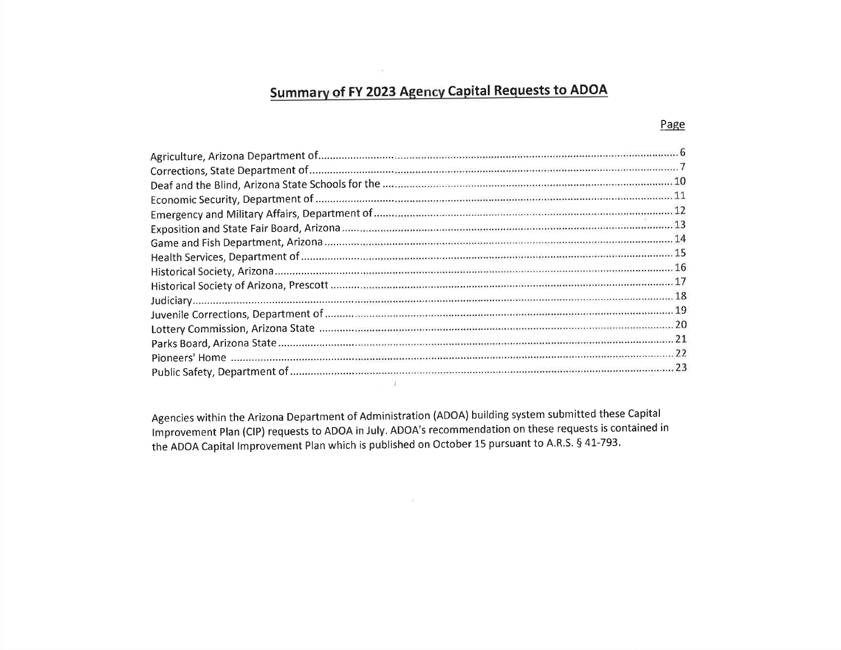# Summary of FY 2023 Agency Capital Requests to ADOA

 $\sim 10$ 

Agencies within the Arizona Department of Administration (ADOA) building system submitted these Capital lmprovement plan (Clp) requests to ADOA in July. ADOA's recommendation on these requests is contained in the ADOA Capital Improvement Plan which is published on October 15 pursuant to A.R.S. § 41-793.

 $\sim$ 

#### Page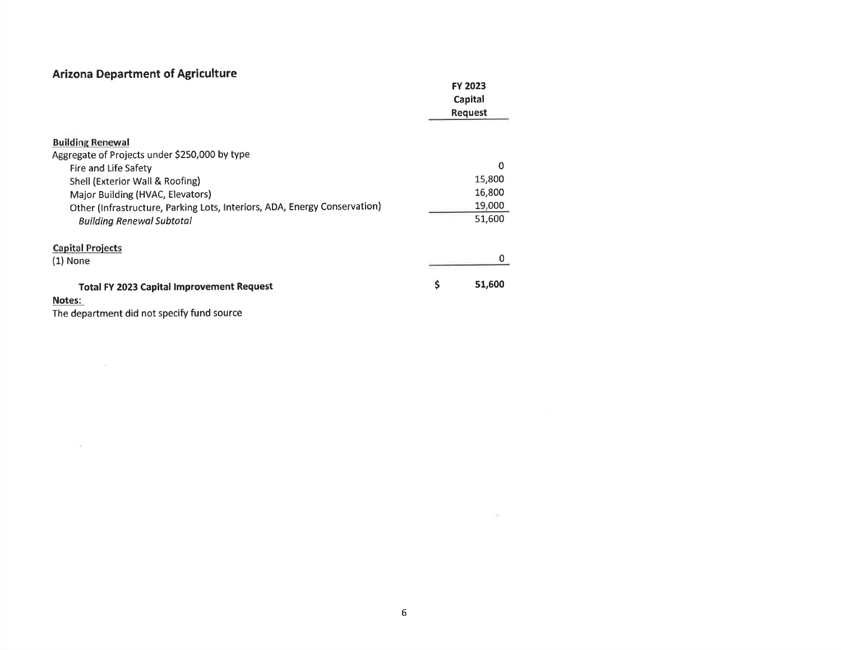## **Arizona Department of Agriculture**

|                                                                           | <b>FY 2023</b> |
|---------------------------------------------------------------------------|----------------|
|                                                                           | Capital        |
|                                                                           | <b>Request</b> |
|                                                                           |                |
| <b>Building Renewal</b>                                                   |                |
| Aggregate of Projects under \$250,000 by type                             |                |
| Fire and Life Safety                                                      | 0              |
| Shell (Exterior Wall & Roofing)                                           | 15,800         |
| Major Building (HVAC, Elevators)                                          | 16,800         |
| Other (Infrastructure, Parking Lots, Interiors, ADA, Energy Conservation) | 19,000         |
| <b>Building Renewal Subtotal</b>                                          | 51,600         |
| <b>Capital Projects</b>                                                   |                |
| $(1)$ None                                                                | 0              |
| <b>Total FY 2023 Capital Improvement Request</b>                          | \$<br>51,600   |
| Notes:                                                                    |                |
|                                                                           |                |

The department did not specify fund source

 $\sim 0.00$  . The  $\sim 0.00$ 

 $\sim 100$  . The second state  $\sim 10^{-10}$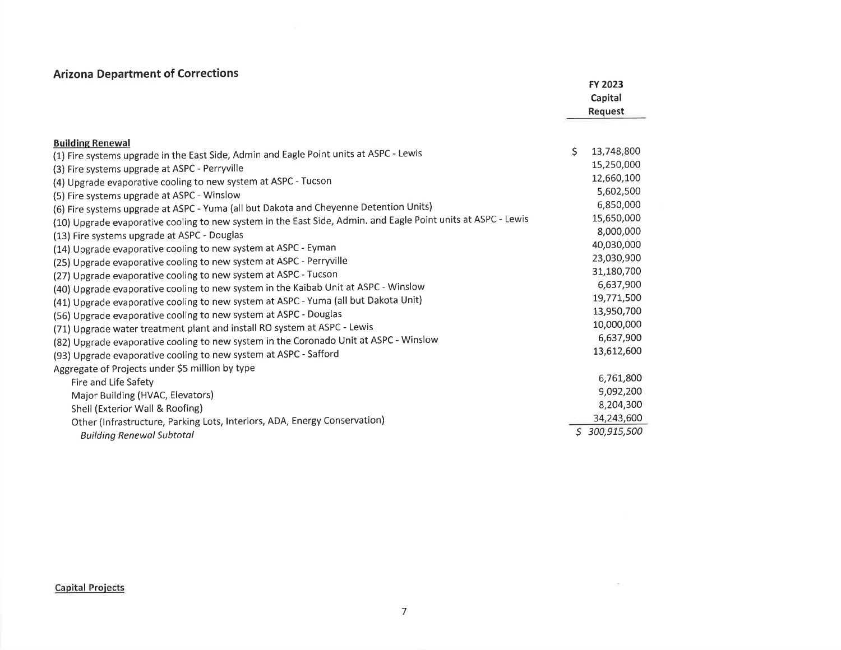## Arizona Department of Corrections

| <b>ATIZURIA DEPARTMENT OF CONTECCIONS</b>                                                                                                                                                              |     | FY 2023<br>Capital<br>Request |
|--------------------------------------------------------------------------------------------------------------------------------------------------------------------------------------------------------|-----|-------------------------------|
| <b>Building Renewal</b><br>(1) Fire systems upgrade in the East Side, Admin and Eagle Point units at ASPC - Lewis<br>(3) Fire systems upgrade at ASPC - Perryville                                     | \$. | 13,748,800<br>15,250,000      |
| (4) Upgrade evaporative cooling to new system at ASPC - Tucson<br>(5) Fire systems upgrade at ASPC - Winslow                                                                                           |     | 12,660,100<br>5,602,500       |
| (6) Fire systems upgrade at ASPC - Yuma (all but Dakota and Cheyenne Detention Units)<br>(10) Upgrade evaporative cooling to new system in the East Side, Admin. and Eagle Point units at ASPC - Lewis |     | 6,850,000<br>15,650,000       |
| (13) Fire systems upgrade at ASPC - Douglas<br>(14) Upgrade evaporative cooling to new system at ASPC - Eyman                                                                                          |     | 8,000,000<br>40,030,000       |
| (25) Upgrade evaporative cooling to new system at ASPC - Perryville<br>(27) Upgrade evaporative cooling to new system at ASPC - Tucson                                                                 |     | 23,030,900<br>31,180,700      |
| (40) Upgrade evaporative cooling to new system in the Kaibab Unit at ASPC - Winslow<br>(41) Upgrade evaporative cooling to new system at ASPC - Yuma (all but Dakota Unit)                             |     | 6,637,900<br>19,771,500       |
| (56) Upgrade evaporative cooling to new system at ASPC - Douglas<br>(71) Upgrade water treatment plant and install RO system at ASPC - Lewis                                                           |     | 13,950,700<br>10,000,000      |
| (82) Upgrade evaporative cooling to new system in the Coronado Unit at ASPC - Winslow<br>(93) Upgrade evaporative cooling to new system at ASPC - Safford                                              |     | 6,637,900<br>13,612,600       |
| Aggregate of Projects under \$5 million by type<br>Fire and Life Safety                                                                                                                                |     | 6,761,800                     |
| Major Building (HVAC, Elevators)<br>Shell (Exterior Wall & Roofing)                                                                                                                                    |     | 9,092,200<br>8,204,300        |
| Other (Infrastructure, Parking Lots, Interiors, ADA, Energy Conservation)<br><b>Building Renewal Subtotal</b>                                                                                          | S.  | 34,243,600<br>300,915,500     |

Capital Proiects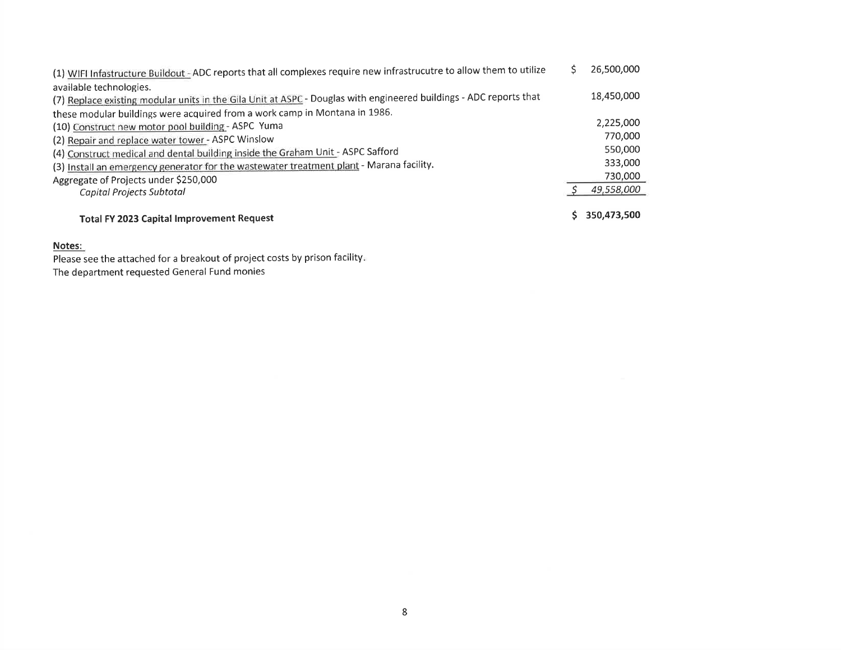| (1) WIFI Infastructure Buildout - ADC reports that all complexes require new infrastrucutre to allow them to utilize | 26,500,000  |
|----------------------------------------------------------------------------------------------------------------------|-------------|
| available technologies.                                                                                              |             |
| (7) Replace existing modular units in the Gila Unit at ASPC - Douglas with engineered buildings - ADC reports that   | 18,450,000  |
| these modular buildings were acquired from a work camp in Montana in 1986.                                           |             |
| (10) Construct new motor pool building - ASPC Yuma                                                                   | 2,225,000   |
| (2) Repair and replace water tower - ASPC Winslow                                                                    | 770,000     |
| (4) Construct medical and dental building inside the Graham Unit - ASPC Safford                                      | 550,000     |
| (3) Install an emergency generator for the wastewater treatment plant - Marana facility.                             | 333,000     |
| Aggregate of Projects under \$250,000                                                                                | 730,000     |
| Capital Projects Subtotal                                                                                            | 49,558,000  |
| <b>Total FY 2023 Capital Improvement Request</b>                                                                     | 350,473,500 |

Please see the attached for a breakout of project costs by prison facility. The department requested General Fund monies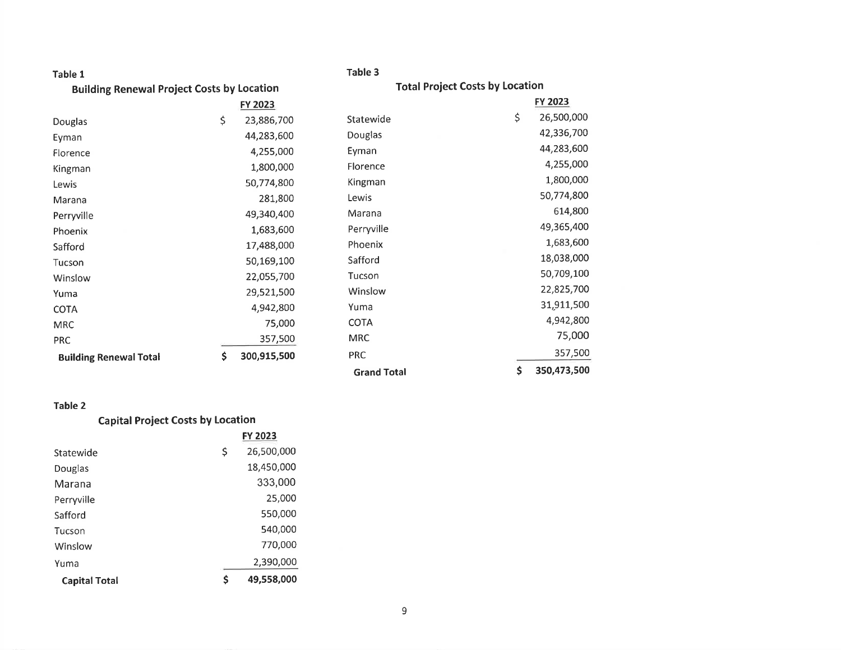| Table 1                                           |                   | Table 3                                |             |
|---------------------------------------------------|-------------------|----------------------------------------|-------------|
| <b>Building Renewal Project Costs by Location</b> |                   | <b>Total Project Costs by Location</b> |             |
|                                                   | FY 2023           |                                        | FY 2023     |
| Douglas                                           | \$<br>23,886,700  | \$<br>Statewide                        | 26,500,000  |
| Eyman                                             | 44,283,600        | Douglas                                | 42,336,700  |
| Florence                                          | 4,255,000         | Eyman                                  | 44,283,600  |
| Kingman                                           | 1,800,000         | Florence                               | 4,255,000   |
| Lewis                                             | 50,774,800        | Kingman                                | 1,800,000   |
| Marana                                            | 281,800           | Lewis                                  | 50,774,800  |
| Perryville                                        | 49,340,400        | Marana                                 | 614,800     |
| Phoenix                                           | 1,683,600         | Perryville                             | 49,365,400  |
| Safford                                           | 17,488,000        | Phoenix                                | 1,683,600   |
| Tucson                                            | 50,169,100        | Safford                                | 18,038,000  |
| Winslow                                           | 22,055,700        | Tucson                                 | 50,709,100  |
| Yuma                                              | 29,521,500        | Winslow                                | 22,825,700  |
| <b>COTA</b>                                       | 4,942,800         | Yuma                                   | 31,911,500  |
| <b>MRC</b>                                        | 75,000            | <b>COTA</b>                            | 4,942,800   |
| <b>PRC</b>                                        | 357,500           | <b>MRC</b>                             | 75,000      |
| <b>Building Renewal Total</b>                     | \$<br>300,915,500 | <b>PRC</b>                             | 357,500     |
|                                                   |                   | \$<br><b>Grand Total</b>               | 350,473,500 |

### Table 2

#### Capital Project Costs bY Location

|                      |    | <b>FY 2023</b> |
|----------------------|----|----------------|
| Statewide            | \$ | 26,500,000     |
| Douglas              |    | 18,450,000     |
| Marana               |    | 333,000        |
| Perryville           |    | 25,000         |
| Safford              |    | 550,000        |
| Tucson               |    | 540,000        |
| Winslow              |    | 770,000        |
| Yuma                 |    | 2,390,000      |
| <b>Capital Total</b> | Ś  | 49,558,000     |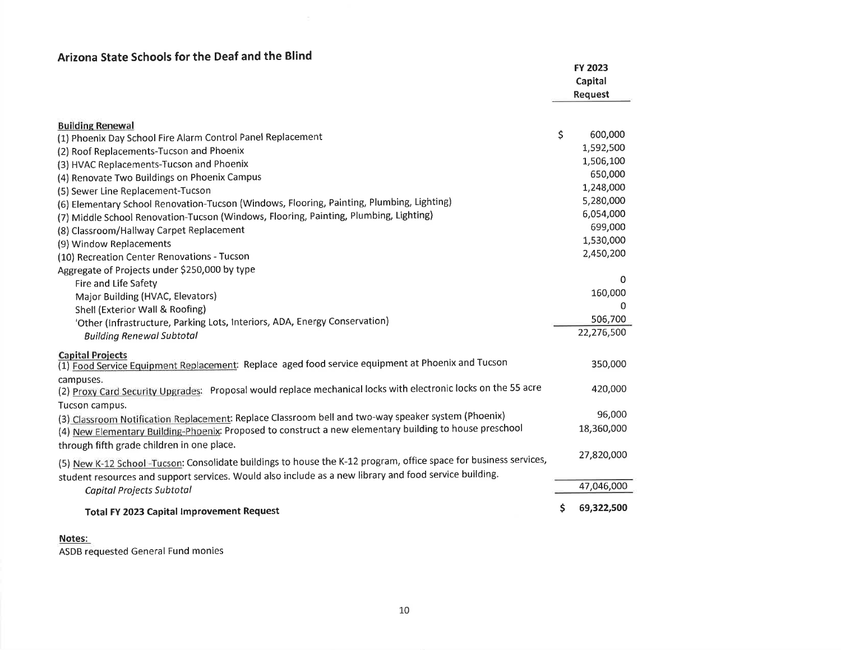## Arizona State Schools for the Deaf and the Blind

| אווגטוום טנםנכ טכווטטוט וטו גווכ טכמו מווא                                                                                                                                                                                  | FY 2023<br>Capital<br><b>Request</b> |
|-----------------------------------------------------------------------------------------------------------------------------------------------------------------------------------------------------------------------------|--------------------------------------|
| <b>Building Renewal</b>                                                                                                                                                                                                     |                                      |
| (1) Phoenix Day School Fire Alarm Control Panel Replacement                                                                                                                                                                 | \$<br>600,000                        |
| (2) Roof Replacements-Tucson and Phoenix                                                                                                                                                                                    | 1,592,500                            |
| (3) HVAC Replacements-Tucson and Phoenix                                                                                                                                                                                    | 1,506,100                            |
| (4) Renovate Two Buildings on Phoenix Campus                                                                                                                                                                                | 650,000                              |
| (5) Sewer Line Replacement-Tucson                                                                                                                                                                                           | 1,248,000                            |
| (6) Elementary School Renovation-Tucson (Windows, Flooring, Painting, Plumbing, Lighting)                                                                                                                                   | 5,280,000                            |
| (7) Middle School Renovation-Tucson (Windows, Flooring, Painting, Plumbing, Lighting)                                                                                                                                       | 6,054,000                            |
| (8) Classroom/Hallway Carpet Replacement                                                                                                                                                                                    | 699,000                              |
| (9) Window Replacements                                                                                                                                                                                                     | 1,530,000                            |
| (10) Recreation Center Renovations - Tucson                                                                                                                                                                                 | 2,450,200                            |
| Aggregate of Projects under \$250,000 by type                                                                                                                                                                               |                                      |
| Fire and Life Safety                                                                                                                                                                                                        | 0                                    |
| Major Building (HVAC, Elevators)                                                                                                                                                                                            | 160,000                              |
| Shell (Exterior Wall & Roofing)                                                                                                                                                                                             | $\Omega$                             |
| 'Other (Infrastructure, Parking Lots, Interiors, ADA, Energy Conservation)                                                                                                                                                  | 506,700                              |
| <b>Building Renewal Subtotal</b>                                                                                                                                                                                            | 22,276,500                           |
| <b>Capital Projects</b><br>(1) Food Service Equipment Replacement: Replace aged food service equipment at Phoenix and Tucson                                                                                                | 350,000                              |
| campuses.<br>(2) Proxy Card Security Upgrades: Proposal would replace mechanical locks with electronic locks on the 55 acre<br>Tucson campus.                                                                               | 420,000                              |
| (3) Classroom Notification Replacement: Replace Classroom bell and two-way speaker system (Phoenix)                                                                                                                         | 96,000                               |
| (4) New Elementary Building-Phoenix: Proposed to construct a new elementary building to house preschool                                                                                                                     | 18,360,000                           |
| through fifth grade children in one place.                                                                                                                                                                                  |                                      |
| (5) New K-12 School -Tucson: Consolidate buildings to house the K-12 program, office space for business services,<br>student resources and support services. Would also include as a new library and food service building. | 27,820,000                           |
| Capital Projects Subtotal                                                                                                                                                                                                   | 47,046,000                           |
| <b>Total FY 2023 Capital Improvement Request</b>                                                                                                                                                                            | \$<br>69,322,500                     |

#### Notes:

ASDB requested General Fund monies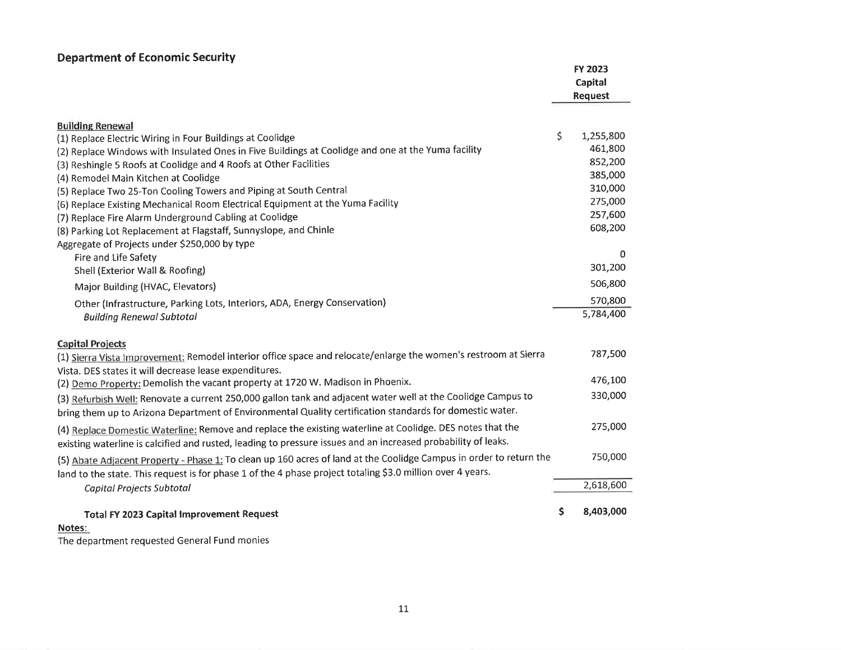#### Department of Economic Security

|                                                                                                                                                                                                                            | FY 2023<br>Capital<br><b>Request</b> |
|----------------------------------------------------------------------------------------------------------------------------------------------------------------------------------------------------------------------------|--------------------------------------|
| <b>Building Renewal</b>                                                                                                                                                                                                    |                                      |
| (1) Replace Electric Wiring in Four Buildings at Coolidge                                                                                                                                                                  | \$<br>1,255,800                      |
| (2) Replace Windows with Insulated Ones in Five Buildings at Coolidge and one at the Yuma facility                                                                                                                         | 461,800                              |
| (3) Reshingle 5 Roofs at Coolidge and 4 Roofs at Other Facilities                                                                                                                                                          | 852,200                              |
| (4) Remodel Main Kitchen at Coolidge                                                                                                                                                                                       | 385,000                              |
| (5) Replace Two 25-Ton Cooling Towers and Piping at South Central                                                                                                                                                          | 310,000                              |
| (6) Replace Existing Mechanical Room Electrical Equipment at the Yuma Facility                                                                                                                                             | 275,000                              |
| (7) Replace Fire Alarm Underground Cabling at Coolidge                                                                                                                                                                     | 257,600                              |
| (8) Parking Lot Replacement at Flagstaff, Sunnyslope, and Chinle                                                                                                                                                           | 608,200                              |
| Aggregate of Projects under \$250,000 by type                                                                                                                                                                              |                                      |
| Fire and Life Safety                                                                                                                                                                                                       | 0                                    |
| Shell (Exterior Wall & Roofing)                                                                                                                                                                                            | 301,200                              |
| Major Building (HVAC, Elevators)                                                                                                                                                                                           | 506,800                              |
| Other (Infrastructure, Parking Lots, Interiors, ADA, Energy Conservation)                                                                                                                                                  | 570,800                              |
| <b>Building Renewal Subtotal</b>                                                                                                                                                                                           | 5,784,400                            |
| <b>Capital Projects</b>                                                                                                                                                                                                    |                                      |
| (1) Sierra Vista Improvement: Remodel interior office space and relocate/enlarge the women's restroom at Sierra<br>Vista. DES states it will decrease lease expenditures.                                                  | 787,500                              |
| (2) Demo Property: Demolish the vacant property at 1720 W. Madison in Phoenix.                                                                                                                                             | 476,100                              |
| (3) Refurbish Well: Renovate a current 250,000 gallon tank and adjacent water well at the Coolidge Campus to<br>bring them up to Arizona Department of Environmental Quality certification standards for domestic water.   | 330,000                              |
| (4) Replace Domestic Waterline: Remove and replace the existing waterline at Coolidge. DES notes that the<br>existing waterline is calcified and rusted, leading to pressure issues and an increased probability of leaks. | 275,000                              |
| (5) Abate Adjacent Property - Phase 1: To clean up 160 acres of land at the Coolidge Campus in order to return the                                                                                                         | 750,000                              |
| land to the state. This request is for phase 1 of the 4 phase project totaling \$3.0 million over 4 years.                                                                                                                 | 2,618,600                            |
| Capital Projects Subtotal                                                                                                                                                                                                  |                                      |
| <b>Total FY 2023 Capital Improvement Request</b><br>Notes:                                                                                                                                                                 | \$<br>8,403,000                      |

Notes:

The department requested General Fund monies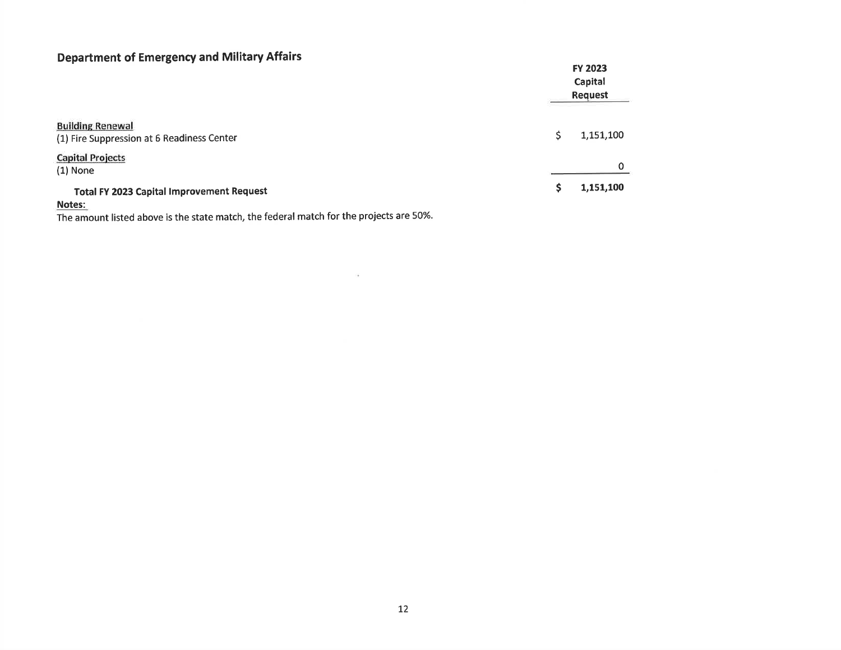## Department of Emergency and Military Affairs

| $\sim$ , and $\sim$ , and $\sim$ , and $\sim$ . The set of $\sim$ , and $\sim$ , and $\sim$ , and $\sim$ , and $\sim$ , and $\sim$ , and $\sim$ |  | <b>FY 2023</b><br>Capital<br><b>Request</b> |  |  |
|-------------------------------------------------------------------------------------------------------------------------------------------------|--|---------------------------------------------|--|--|
| <b>Building Renewal</b><br>(1) Fire Suppression at 6 Readiness Center                                                                           |  | 1,151,100                                   |  |  |
| <b>Capital Projects</b><br>$(1)$ None                                                                                                           |  | 0                                           |  |  |
| <b>Total FY 2023 Capital Improvement Request</b><br>Notes:                                                                                      |  | 1,151,100                                   |  |  |

 $\bar{\gamma}$ 

The amount listed above is the state match, the federal match for the projects are 5O%.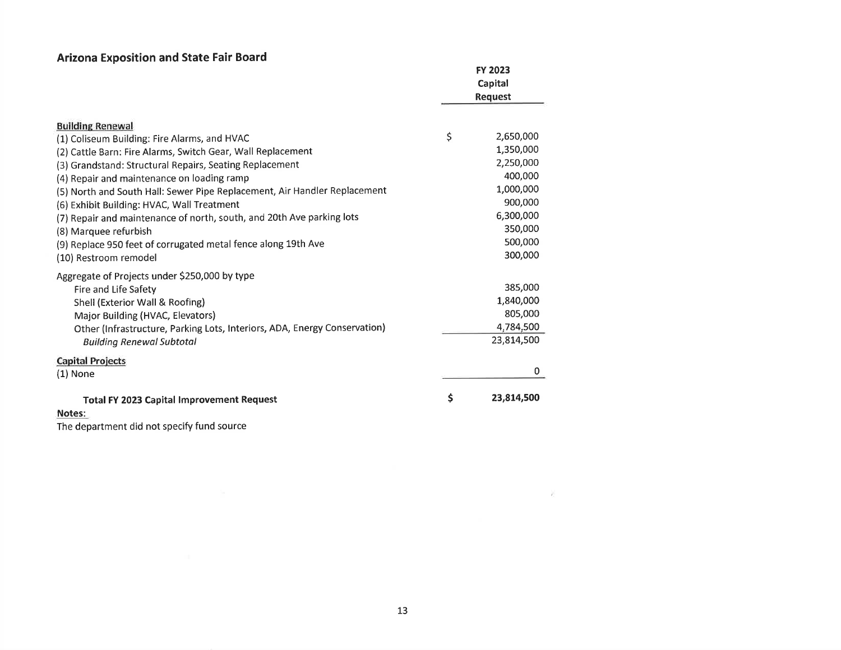## Arizona Exposition and State Fair Board

|                                                                           | <b>FY 2023</b><br>Capital<br><b>Request</b> |            |
|---------------------------------------------------------------------------|---------------------------------------------|------------|
| <b>Building Renewal</b>                                                   |                                             |            |
| (1) Coliseum Building: Fire Alarms, and HVAC                              | \$                                          | 2,650,000  |
| (2) Cattle Barn: Fire Alarms, Switch Gear, Wall Replacement               |                                             | 1,350,000  |
| (3) Grandstand: Structural Repairs, Seating Replacement                   |                                             | 2,250,000  |
| (4) Repair and maintenance on loading ramp                                |                                             | 400,000    |
| (5) North and South Hall: Sewer Pipe Replacement, Air Handler Replacement |                                             | 1,000,000  |
| (6) Exhibit Building: HVAC, Wall Treatment                                |                                             | 900,000    |
| (7) Repair and maintenance of north, south, and 20th Ave parking lots     |                                             | 6,300,000  |
| (8) Marquee refurbish                                                     |                                             | 350,000    |
| (9) Replace 950 feet of corrugated metal fence along 19th Ave             |                                             | 500,000    |
| (10) Restroom remodel                                                     |                                             | 300,000    |
| Aggregate of Projects under \$250,000 by type                             |                                             |            |
| Fire and Life Safety                                                      |                                             | 385,000    |
| Shell (Exterior Wall & Roofing)                                           |                                             | 1,840,000  |
| Major Building (HVAC, Elevators)                                          |                                             | 805,000    |
| Other (Infrastructure, Parking Lots, Interiors, ADA, Energy Conservation) |                                             | 4,784,500  |
| <b>Building Renewal Subtotal</b>                                          |                                             | 23,814,500 |
| <b>Capital Projects</b>                                                   |                                             |            |
| $(1)$ None                                                                |                                             | 0          |
| <b>Total FY 2023 Capital Improvement Request</b>                          | \$                                          | 23,814,500 |
| Notes:                                                                    |                                             |            |

The department did not specify fund source

**B** 2007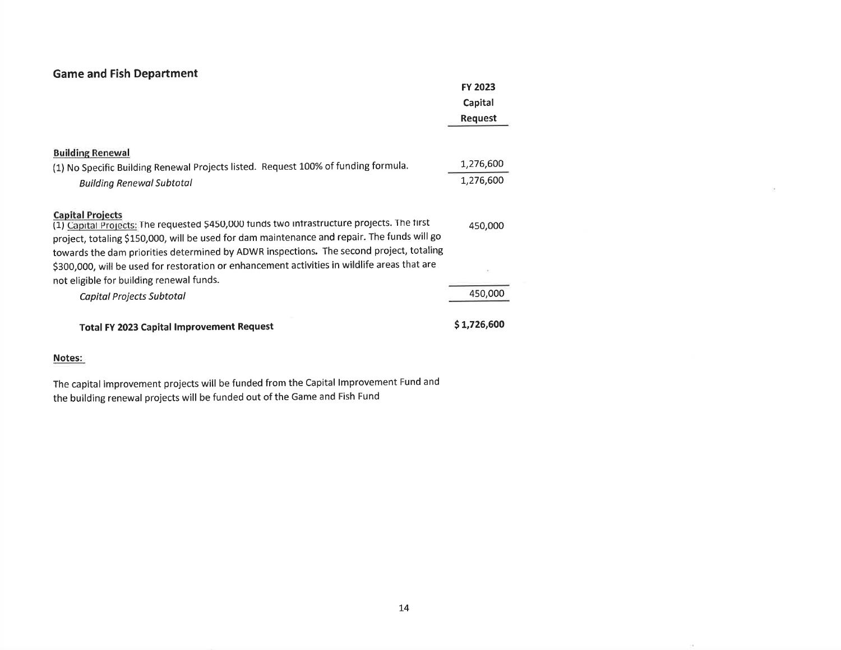| <b>Game and Fish Department</b>                                                                                                                                                                                                                                                                                 |             |
|-----------------------------------------------------------------------------------------------------------------------------------------------------------------------------------------------------------------------------------------------------------------------------------------------------------------|-------------|
|                                                                                                                                                                                                                                                                                                                 | FY 2023     |
|                                                                                                                                                                                                                                                                                                                 | Capital     |
|                                                                                                                                                                                                                                                                                                                 | Request     |
|                                                                                                                                                                                                                                                                                                                 |             |
| <b>Building Renewal</b>                                                                                                                                                                                                                                                                                         |             |
| (1) No Specific Building Renewal Projects listed. Request 100% of funding formula.                                                                                                                                                                                                                              | 1,276,600   |
| <b>Building Renewal Subtotal</b>                                                                                                                                                                                                                                                                                | 1,276,600   |
| <b>Capital Projects</b><br>(1) Capital Projects: The requested \$450,000 funds two infrastructure projects. The first<br>project, totaling \$150,000, will be used for dam maintenance and repair. The funds will go<br>towards the dam priorities determined by ADWR inspections. The second project, totaling | 450,000     |
| \$300,000, will be used for restoration or enhancement activities in wildlife areas that are<br>not eligible for building renewal funds.                                                                                                                                                                        |             |
| Capital Projects Subtotal                                                                                                                                                                                                                                                                                       | 450,000     |
| <b>Total FY 2023 Capital Improvement Request</b>                                                                                                                                                                                                                                                                | \$1,726,600 |

The capital improvement projects will be funded from the Capital lmprovement Fund and the building renewal projects will be funded out of the Game and Fish Fund

 $\sim$   $\alpha$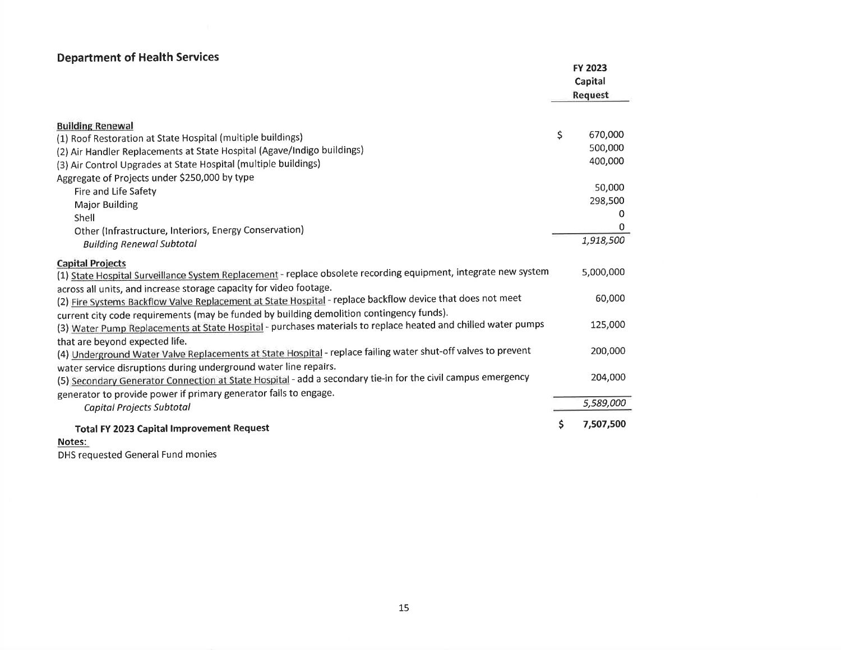## Department of Health Services

| Department or meann berview                                                                                     |    | FY 2023<br>Capital<br>Request |
|-----------------------------------------------------------------------------------------------------------------|----|-------------------------------|
| <b>Building Renewal</b>                                                                                         |    |                               |
| (1) Roof Restoration at State Hospital (multiple buildings)                                                     | \$ | 670,000                       |
| (2) Air Handler Replacements at State Hospital (Agave/Indigo buildings)                                         |    | 500,000                       |
| (3) Air Control Upgrades at State Hospital (multiple buildings)                                                 |    | 400.000                       |
| Aggregate of Projects under \$250,000 by type                                                                   |    |                               |
| Fire and Life Safety                                                                                            |    | 50,000                        |
| Major Building                                                                                                  |    | 298,500                       |
| Shell                                                                                                           |    | $^{\rm o}$                    |
| Other (Infrastructure, Interiors, Energy Conservation)                                                          |    |                               |
| <b>Building Renewal Subtotal</b>                                                                                |    | 1,918,500                     |
| <b>Capital Projects</b>                                                                                         |    |                               |
| (1) State Hospital Surveillance System Replacement - replace obsolete recording equipment, integrate new system |    | 5,000,000                     |
| across all units, and increase storage capacity for video footage.                                              |    |                               |
| (2) Fire Systems Backflow Valve Replacement at State Hospital - replace backflow device that does not meet      |    | 60,000                        |
| current city code requirements (may be funded by building demolition contingency funds).                        |    |                               |
| (3) Water Pump Replacements at State Hospital - purchases materials to replace heated and chilled water pumps   |    | 125,000                       |
| that are beyond expected life.                                                                                  |    |                               |
| (4) Underground Water Valve Replacements at State Hospital - replace failing water shut-off valves to prevent   |    | 200,000                       |
| water service disruptions during underground water line repairs.                                                |    |                               |
| (5) Secondary Generator Connection at State Hospital - add a secondary tie-in for the civil campus emergency    |    | 204,000                       |
| generator to provide power if primary generator fails to engage.                                                |    |                               |
| Capital Projects Subtotal                                                                                       |    | 5,589,000                     |
| <b>Total FY 2023 Capital Improvement Request</b>                                                                | S  | 7,507,500                     |

#### Notes:

DHS requested General Fund monies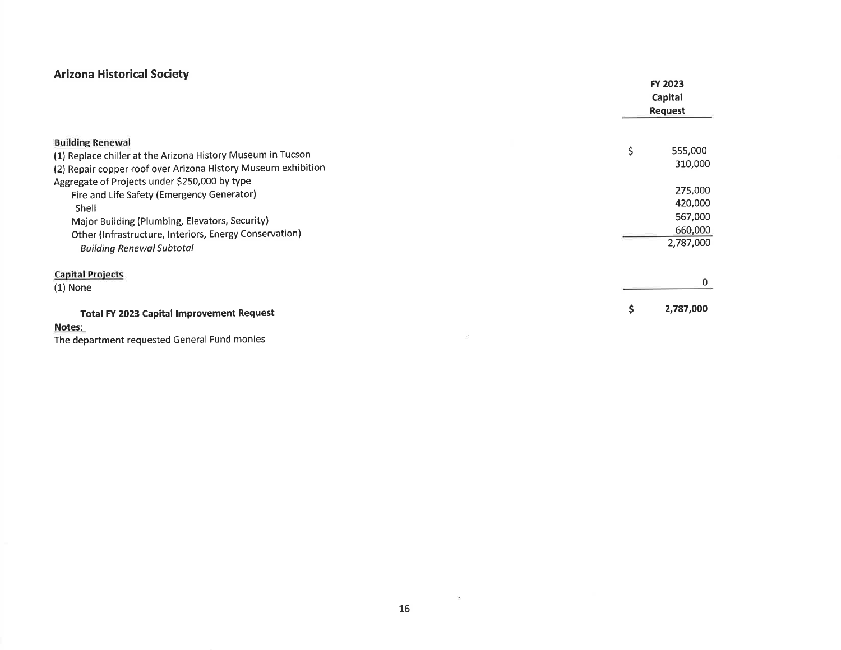## **Arizona Historical Society**

|                                                                                                                                                                                                                                                      | <b>FY 2023</b><br>Capital<br><b>Request</b> |                                          |  |
|------------------------------------------------------------------------------------------------------------------------------------------------------------------------------------------------------------------------------------------------------|---------------------------------------------|------------------------------------------|--|
| <b>Building Renewal</b><br>(1) Replace chiller at the Arizona History Museum in Tucson<br>(2) Repair copper roof over Arizona History Museum exhibition                                                                                              | \$<br>555,000                               | 310,000                                  |  |
| Aggregate of Projects under \$250,000 by type<br>Fire and Life Safety (Emergency Generator)<br>Shell<br>Major Building (Plumbing, Elevators, Security)<br>Other (Infrastructure, Interiors, Energy Conservation)<br><b>Building Renewal Subtotal</b> | 2,787,000                                   | 275,000<br>420,000<br>567,000<br>660,000 |  |
| <b>Capital Projects</b><br>$(1)$ None                                                                                                                                                                                                                |                                             |                                          |  |
| <b>Total FY 2023 Capital Improvement Request</b><br>Notes:<br>The department requested Conoral Eund monice                                                                                                                                           | 2,787,000<br>S.                             |                                          |  |

The department requested General Fund monies

 $\sim$   $\sim$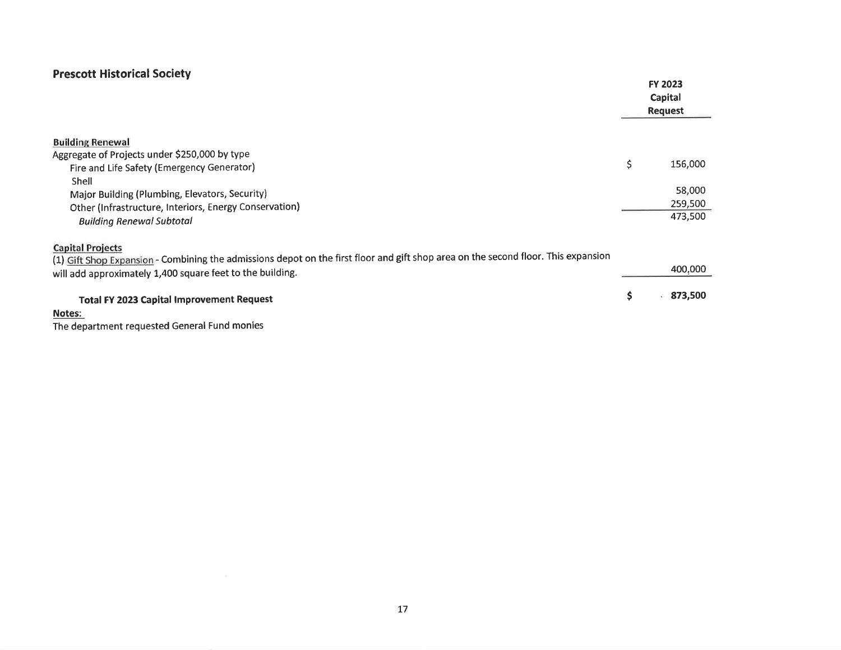## Prescott Historical Society

 $\sim 10^{-10}$  km s  $^{-1}$ 

|                                                                                                                                                                                                                                                                                 | <b>FY 2023</b>                                |
|---------------------------------------------------------------------------------------------------------------------------------------------------------------------------------------------------------------------------------------------------------------------------------|-----------------------------------------------|
|                                                                                                                                                                                                                                                                                 | Capital                                       |
|                                                                                                                                                                                                                                                                                 | <b>Request</b>                                |
| <b>Building Renewal</b><br>Aggregate of Projects under \$250,000 by type<br>Fire and Life Safety (Emergency Generator)<br>Shell<br>Major Building (Plumbing, Elevators, Security)<br>Other (Infrastructure, Interiors, Energy Conservation)<br><b>Building Renewal Subtotal</b> | \$<br>156,000<br>58,000<br>259,500<br>473,500 |
| <b>Capital Projects</b><br>(1) Gift Shop Expansion - Combining the admissions depot on the first floor and gift shop area on the second floor. This expansion<br>will add approximately 1,400 square feet to the building.                                                      | 400,000                                       |
| <b>Total FY 2023 Capital Improvement Request</b><br>Notes:                                                                                                                                                                                                                      | \$<br>873,500                                 |
| The department requested General Fund monies                                                                                                                                                                                                                                    |                                               |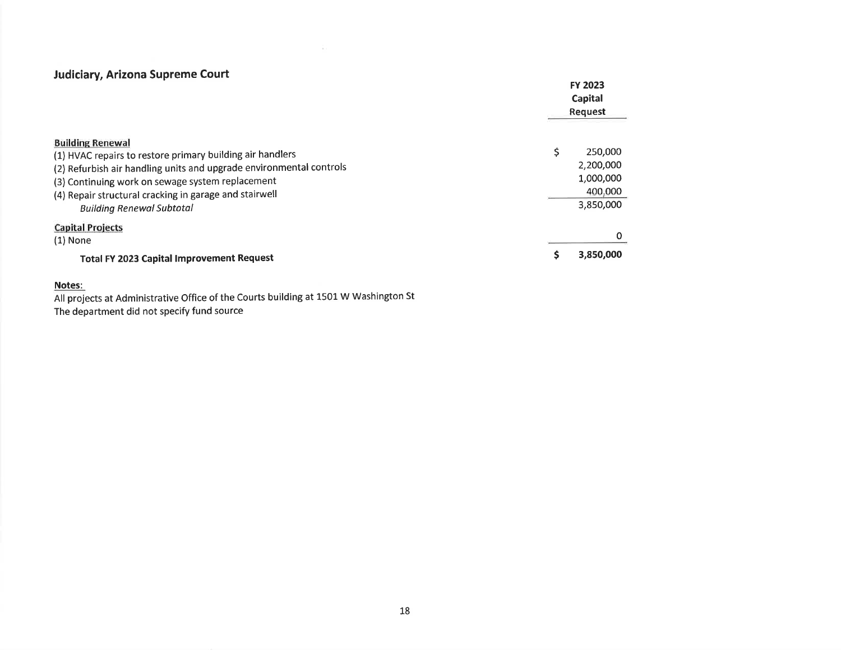#### Judiciary, Arizona Supreme Court

|                                                                                                                                                                                                                                                                                                               | <b>FY 2023</b><br>Capital<br>Request                      |
|---------------------------------------------------------------------------------------------------------------------------------------------------------------------------------------------------------------------------------------------------------------------------------------------------------------|-----------------------------------------------------------|
| <b>Building Renewal</b><br>(1) HVAC repairs to restore primary building air handlers<br>(2) Refurbish air handling units and upgrade environmental controls<br>(3) Continuing work on sewage system replacement<br>(4) Repair structural cracking in garage and stairwell<br><b>Building Renewal Subtotal</b> | 250,000<br>2,200,000<br>1,000,000<br>400,000<br>3,850,000 |
| <b>Capital Projects</b><br>$(1)$ None<br><b>Total FY 2023 Capital Improvement Request</b>                                                                                                                                                                                                                     | 3,850,000                                                 |

#### Notes:

All projects at Administrative Office of the Courts building at 1501 W Washington St The department did not specify fund source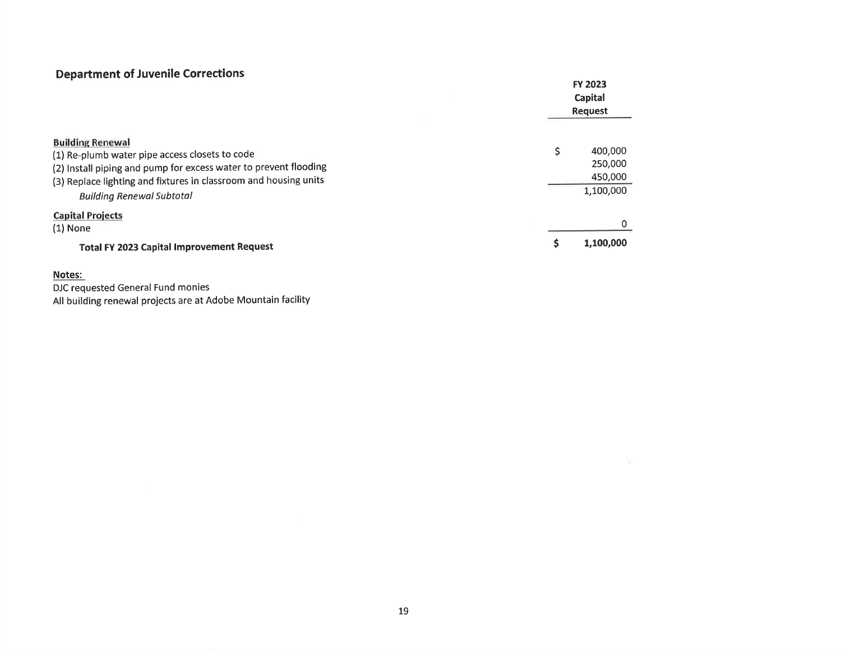## Department of Juvenile Corrections

| Department of Javenne corrections                                                                                                                                                                                                                     | <b>FY 2023</b><br>Capital<br><b>Request</b>     |
|-------------------------------------------------------------------------------------------------------------------------------------------------------------------------------------------------------------------------------------------------------|-------------------------------------------------|
| <b>Building Renewal</b><br>(1) Re-plumb water pipe access closets to code<br>(2) Install piping and pump for excess water to prevent flooding<br>(3) Replace lighting and fixtures in classroom and housing units<br><b>Building Renewal Subtotal</b> | Ś<br>400,000<br>250,000<br>450,000<br>1,100,000 |
| <b>Capital Projects</b><br>$(1)$ None<br><b>Total FY 2023 Capital Improvement Request</b>                                                                                                                                                             | 1,100,000                                       |

#### Notes:

DJC requested General Fund monies All building renewal projects are at Adobe Mountain facility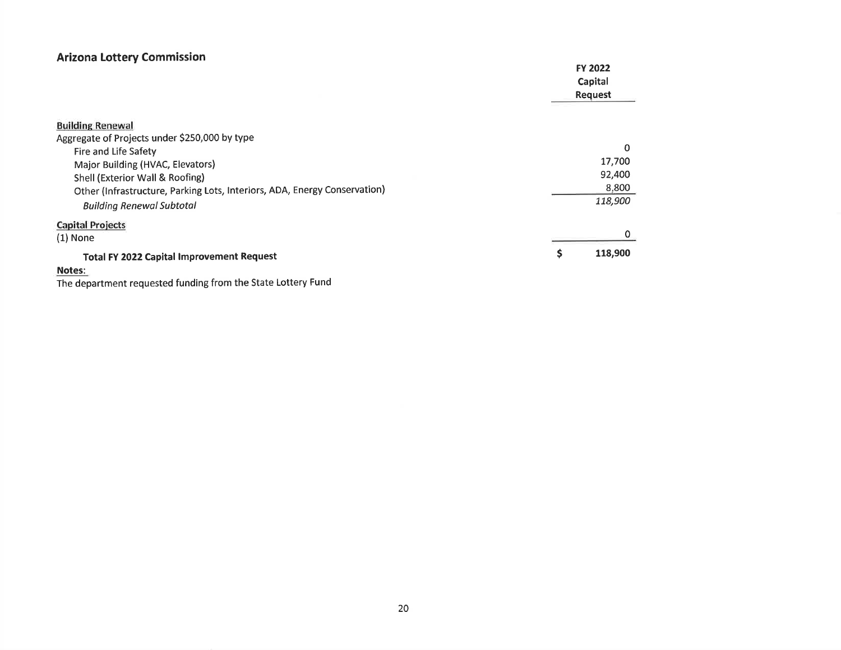## **Arizona Lottery Commission**

| <b>ATTESTIC ESTICITY COMMISSION</b>                                       | <b>FY 2022</b><br>Capital<br><b>Request</b> |
|---------------------------------------------------------------------------|---------------------------------------------|
| <b>Building Renewal</b>                                                   |                                             |
| Aggregate of Projects under \$250,000 by type                             |                                             |
| Fire and Life Safety                                                      | $\Omega$                                    |
| Major Building (HVAC, Elevators)                                          | 17,700                                      |
| Shell (Exterior Wall & Roofing)                                           | 92,400                                      |
| Other (Infrastructure, Parking Lots, Interiors, ADA, Energy Conservation) | 8,800                                       |
| <b>Building Renewal Subtotal</b>                                          | 118,900                                     |
| <b>Capital Projects</b>                                                   |                                             |
| $(1)$ None                                                                |                                             |
| <b>Total FY 2022 Capital Improvement Request</b>                          | 118,900<br>s                                |
| Notes:                                                                    |                                             |

The department requested funding from the State Lottery Fund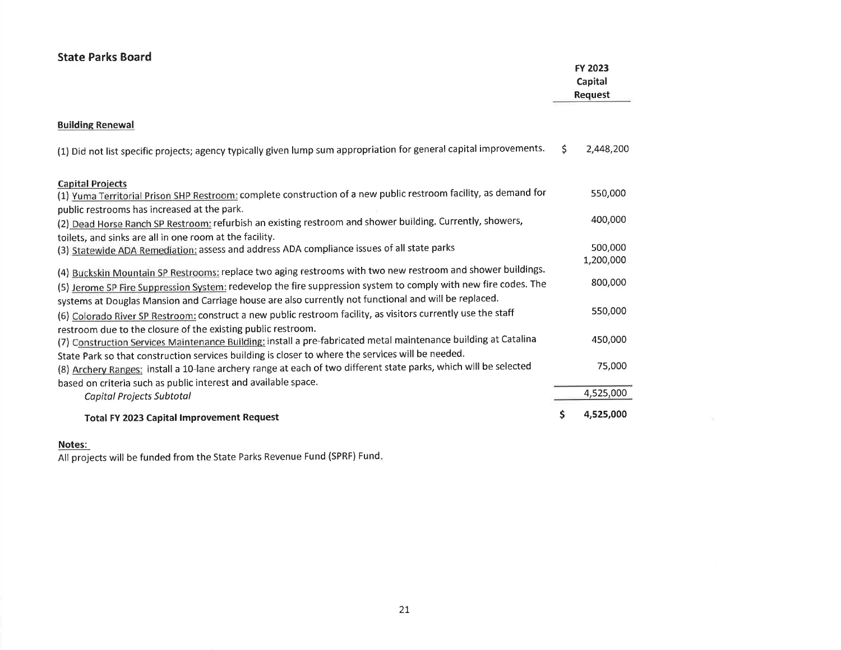| <b>State Parks Board</b>                                                                                                                                             |    | FY 2023<br>Capital<br><b>Request</b> |
|----------------------------------------------------------------------------------------------------------------------------------------------------------------------|----|--------------------------------------|
| <b>Building Renewal</b>                                                                                                                                              |    |                                      |
| (1) Did not list specific projects; agency typically given lump sum appropriation for general capital improvements.                                                  | Ŝ. | 2,448,200                            |
| <b>Capital Projects</b>                                                                                                                                              |    |                                      |
| (1) Yuma Territorial Prison SHP Restroom: complete construction of a new public restroom facility, as demand for                                                     |    | 550,000                              |
| public restrooms has increased at the park.                                                                                                                          |    | 400,000                              |
| (2) Dead Horse Ranch SP Restroom: refurbish an existing restroom and shower building. Currently, showers,<br>toilets, and sinks are all in one room at the facility. |    |                                      |
| (3) Statewide ADA Remediation: assess and address ADA compliance issues of all state parks                                                                           |    | 500,000                              |
|                                                                                                                                                                      |    | 1,200,000                            |
| (4) Buckskin Mountain SP Restrooms: replace two aging restrooms with two new restroom and shower buildings.                                                          |    |                                      |
| (5) Jerome SP Fire Suppression System: redevelop the fire suppression system to comply with new fire codes. The                                                      |    | 800,000                              |
| systems at Douglas Mansion and Carriage house are also currently not functional and will be replaced.                                                                |    |                                      |
| (6) Colorado River SP Restroom: construct a new public restroom facility, as visitors currently use the staff                                                        |    | 550,000                              |
| restroom due to the closure of the existing public restroom.                                                                                                         |    |                                      |
| (7) Construction Services Maintenance Building: install a pre-fabricated metal maintenance building at Catalina                                                      |    | 450,000                              |
| State Park so that construction services building is closer to where the services will be needed.                                                                    |    | 75,000                               |
| (8) Archery Ranges: install a 10-lane archery range at each of two different state parks, which will be selected                                                     |    |                                      |
| based on criteria such as public interest and available space.                                                                                                       |    | 4,525,000                            |
| Capital Projects Subtotal                                                                                                                                            |    |                                      |
| <b>Total FY 2023 Capital Improvement Request</b>                                                                                                                     | Ś. | 4,525,000                            |

All projects will be funded from the State Parks Revenue Fund (SPRF) Fund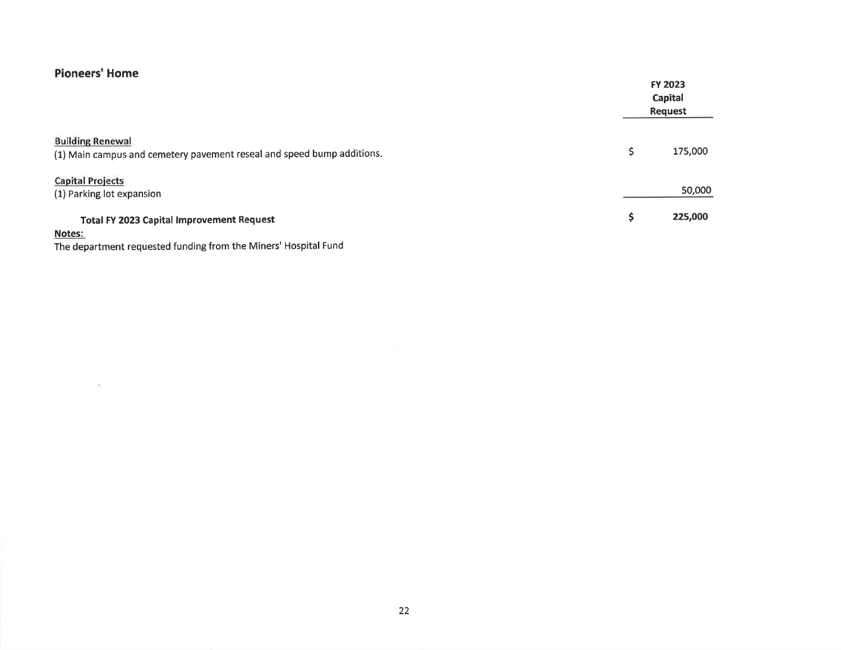## Pioneers' Home

|                                                                                                   | FY 2023<br>Capital<br><b>Request</b> |  |
|---------------------------------------------------------------------------------------------------|--------------------------------------|--|
| <b>Building Renewal</b><br>(1) Main campus and cemetery pavement reseal and speed bump additions. | \$<br>175,000                        |  |
| <b>Capital Projects</b><br>(1) Parking lot expansion                                              | 50,000                               |  |
| <b>Total FY 2023 Capital Improvement Request</b><br>Alberta College                               | \$<br>225,000                        |  |

#### Notes:

 $\left\langle \cdot \right\rangle$ 

The department requested funding from the Miners' Hospital Fund